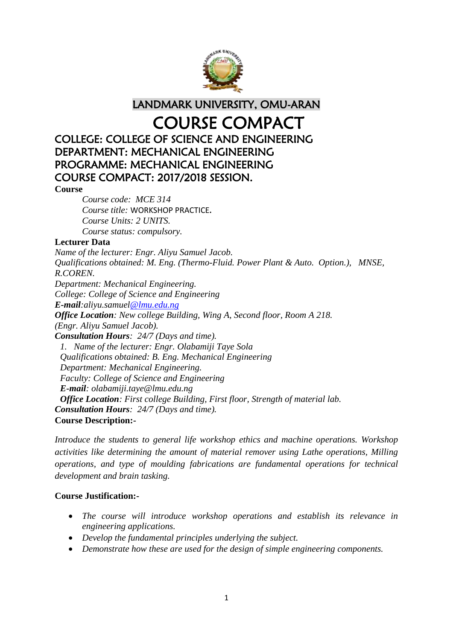

LANDMARK UNIVERSITY, OMU-ARAN

# COURSE COMPACT

# COLLEGE: COLLEGE OF SCIENCE AND ENGINEERING DEPARTMENT: MECHANICAL ENGINEERING PROGRAMME: MECHANICAL ENGINEERING COURSE COMPACT: 2017/2018 SESSION.

**Course**

*Course code: MCE 314 Course title:* WORKSHOP PRACTICE**.** *Course Units: 2 UNITS. Course status: compulsory.*

#### **Lecturer Data**

*Name of the lecturer: Engr. Aliyu Samuel Jacob. Qualifications obtained: M. Eng. (Thermo-Fluid. Power Plant & Auto. Option.), MNSE, R.COREN. Department: Mechanical Engineering. College: College of Science and Engineering E-mail:aliyu.samuel@lmu.edu.ng Office Location: New college Building, Wing A, Second floor, Room A 218. (Engr. Aliyu Samuel Jacob). Consultation Hours: 24/7 (Days and time). 1. Name of the lecturer: Engr. Olabamiji Taye Sola Qualifications obtained: B. Eng. Mechanical Engineering Department: Mechanical Engineering. Faculty: College of Science and Engineering E-mail: olabamiji.taye@lmu.edu.ng Office Location: First college Building, First floor, Strength of material lab. Consultation Hours: 24/7 (Days and time).* **Course Description:-**

*Introduce the students to general life workshop ethics and machine operations. Workshop activities like determining the amount of material remover using Lathe operations, Milling operations, and type of moulding fabrications are fundamental operations for technical development and brain tasking.* 

#### **Course Justification:-**

- *The course will introduce workshop operations and establish its relevance in engineering applications.*
- *Develop the fundamental principles underlying the subject.*
- *Demonstrate how these are used for the design of simple engineering components.*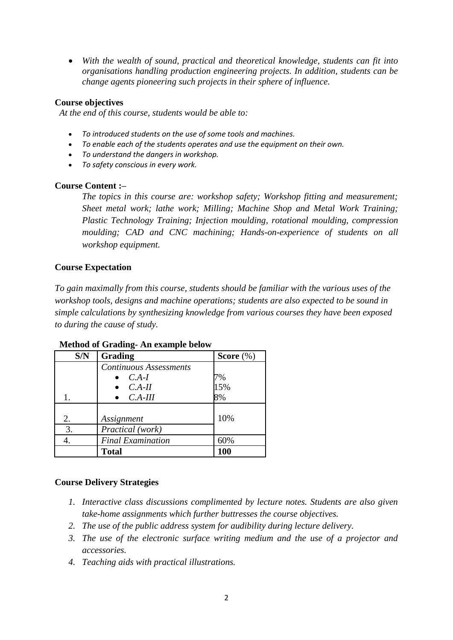*With the wealth of sound, practical and theoretical knowledge, students can fit into organisations handling production engineering projects. In addition, students can be change agents pioneering such projects in their sphere of influence.*

#### **Course objectives**

*At the end of this course, students would be able to:* 

- *To introduced students on the use of some tools and machines.*
- *To enable each of the students operates and use the equipment on their own.*
- *To understand the dangers in workshop.*
- *To safety conscious in every work.*

#### **Course Content :–**

*The topics in this course are: workshop safety; Workshop fitting and measurement; Sheet metal work; lathe work; Milling; Machine Shop and Metal Work Training; Plastic Technology Training; Injection moulding, rotational moulding, compression moulding; CAD and CNC machining; Hands-on-experience of students on all workshop equipment.*

#### **Course Expectation**

*To gain maximally from this course, students should be familiar with the various uses of the workshop tools, designs and machine operations; students are also expected to be sound in simple calculations by synthesizing knowledge from various courses they have been exposed to during the cause of study.* 

| S/N | Grading                       | Score $(\%)$ |
|-----|-------------------------------|--------------|
|     | <b>Continuous Assessments</b> |              |
|     | $C.A-I$                       | 7%           |
|     | $C.A-II$                      | 15%          |
|     | $C.A-III$                     | 8%           |
|     |                               |              |
| 2.  | Assignment                    | 10%          |
| 3.  | Practical (work)              |              |
| 4.  | <b>Final Examination</b>      | 60%          |
|     | <b>Total</b>                  | 100          |

#### **Method of Grading- An example below**

#### **Course Delivery Strategies**

- *1. Interactive class discussions complimented by lecture notes. Students are also given take-home assignments which further buttresses the course objectives.*
- *2. The use of the public address system for audibility during lecture delivery.*
- *3. The use of the electronic surface writing medium and the use of a projector and accessories.*
- *4. Teaching aids with practical illustrations.*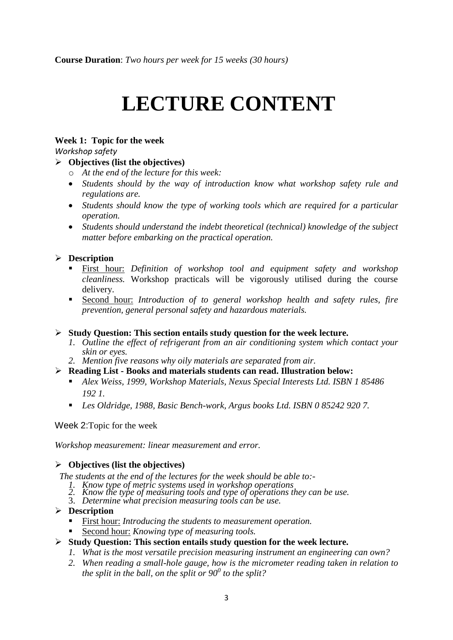# **LECTURE CONTENT**

#### **Week 1: Topic for the week**

*Workshop safety*

#### **Objectives (list the objectives)**

- o *At the end of the lecture for this week:*
- *Students should by the way of introduction know what workshop safety rule and regulations are.*
- *Students should know the type of working tools which are required for a particular operation.*
- *Students should understand the indebt theoretical (technical) knowledge of the subject matter before embarking on the practical operation.*

#### **Description**

- First hour: *Definition of workshop tool and equipment safety and workshop cleanliness.* Workshop practicals will be vigorously utilised during the course delivery.
- Second hour: *Introduction of to general workshop health and safety rules, fire prevention, general personal safety and hazardous materials.*

#### **Study Question: This section entails study question for the week lecture.**

- *1. Outline the effect of refrigerant from an air conditioning system which contact your skin or eyes.*
- *2. Mention five reasons why oily materials are separated from air.*

#### **Reading List - Books and materials students can read. Illustration below:**

- *Alex Weiss, 1999, Workshop Materials, Nexus Special Interests Ltd. ISBN 1 85486 192 1.*
- *Les Oldridge, 1988, Basic Bench-work, Argus books Ltd. ISBN 0 85242 920 7.*

Week 2:Topic for the week

*Workshop measurement: linear measurement and error.*

#### **Objectives (list the objectives)**

*The students at the end of the lectures for the week should be able to:-*

- *1. Know type of metric systems used in workshop operations*
- *2. Know the type of measuring tools and type of operations they can be use.*
- 3. *Determine what precision measuring tools can be use.*

#### **Description**

- First hour: *Introducing the students to measurement operation.*
- Second hour: *Knowing type of measuring tools.*
- **Study Question: This section entails study question for the week lecture.**
	- *1. What is the most versatile precision measuring instrument an engineering can own?*
	- *2. When reading a small-hole gauge, how is the micrometer reading taken in relation to the split in the ball, on the split or 90<sup>0</sup> to the split?*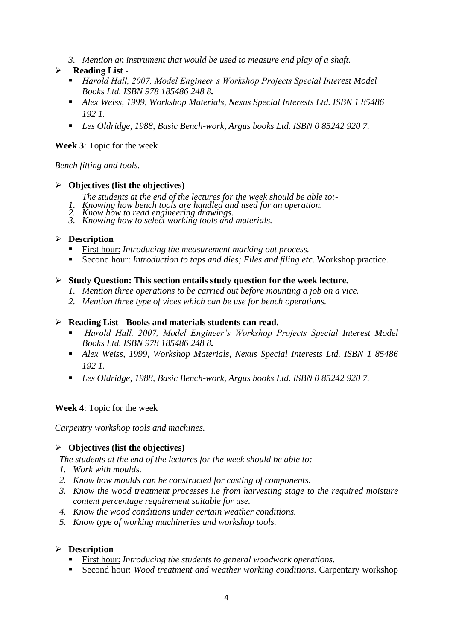*3. Mention an instrument that would be used to measure end play of a shaft.*

#### **Reading List -**

- *Harold Hall, 2007, Model Engineer's Workshop Projects Special Interest Model Books Ltd. ISBN 978 185486 248 8.*
- *Alex Weiss, 1999, Workshop Materials, Nexus Special Interests Ltd. ISBN 1 85486 192 1.*
- *Les Oldridge, 1988, Basic Bench-work, Argus books Ltd. ISBN 0 85242 920 7.*

#### **Week 3**: Topic for the week

#### *Bench fitting and tools.*

#### **Objectives (list the objectives)**

- *The students at the end of the lectures for the week should be able to:-*
- *1. Knowing how bench tools are handled and used for an operation.*
- *2. Know how to read engineering drawings.*
- *3. Knowing how to select working tools and materials.*

#### **Description**

- First hour: *Introducing the measurement marking out process.*
- Second hour: *Introduction to taps and dies; Files and filing etc.* Workshop practice.

#### **Study Question: This section entails study question for the week lecture.**

- *1. Mention three operations to be carried out before mounting a job on a vice.*
- *2. Mention three type of vices which can be use for bench operations.*

#### **Reading List - Books and materials students can read.**

- *Harold Hall, 2007, Model Engineer's Workshop Projects Special Interest Model Books Ltd. ISBN 978 185486 248 8.*
- *Alex Weiss, 1999, Workshop Materials, Nexus Special Interests Ltd. ISBN 1 85486 192 1.*
- *Les Oldridge, 1988, Basic Bench-work, Argus books Ltd. ISBN 0 85242 920 7.*

#### **Week 4**: Topic for the week

*Carpentry workshop tools and machines.*

#### **Objectives (list the objectives)**

*The students at the end of the lectures for the week should be able to:-*

- *1. Work with moulds.*
- *2. Know how moulds can be constructed for casting of components.*
- *3. Know the wood treatment processes i.e from harvesting stage to the required moisture content percentage requirement suitable for use.*
- *4. Know the wood conditions under certain weather conditions.*
- *5. Know type of working machineries and workshop tools.*

#### **Description**

- First hour: *Introducing the students to general woodwork operations.*
- Second hour: *Wood treatment and weather working conditions.* Carpentary workshop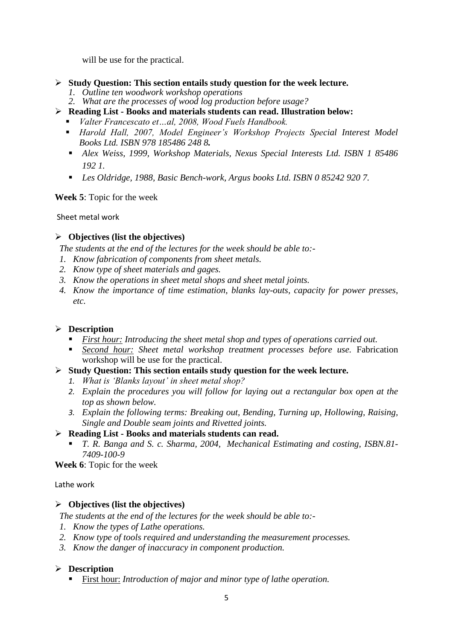will be use for the practical.

- **Study Question: This section entails study question for the week lecture.**
	- *1. Outline ten woodwork workshop operations*
	- *2. What are the processes of wood log production before usage?*
- **Reading List - Books and materials students can read. Illustration below:**
	- *Valter Francescato et…al, 2008, Wood Fuels Handbook.*
	- *Harold Hall, 2007, Model Engineer's Workshop Projects Special Interest Model Books Ltd. ISBN 978 185486 248 8.*
	- *Alex Weiss, 1999, Workshop Materials, Nexus Special Interests Ltd. ISBN 1 85486 192 1.*
	- *Les Oldridge, 1988, Basic Bench-work, Argus books Ltd. ISBN 0 85242 920 7.*

**Week 5**: Topic for the week

Sheet metal work

#### **Objectives (list the objectives)**

*The students at the end of the lectures for the week should be able to:-*

- *1. Know fabrication of components from sheet metals.*
- *2. Know type of sheet materials and gages.*
- *3. Know the operations in sheet metal shops and sheet metal joints.*
- *4. Know the importance of time estimation, blanks lay-outs, capacity for power presses, etc.*

#### **Description**

- *First hour: Introducing the sheet metal shop and types of operations carried out.*
- *Second hour: Sheet metal workshop treatment processes before use.* Fabrication workshop will be use for the practical.
- **Study Question: This section entails study question for the week lecture.**
	- *1. What is 'Blanks layout' in sheet metal shop?*
	- *2. Explain the procedures you will follow for laying out a rectangular box open at the top as shown below.*
	- *3. Explain the following terms: Breaking out, Bending, Turning up, Hollowing, Raising, Single and Double seam joints and Rivetted joints.*
- **Reading List - Books and materials students can read.** 
	- *T. R. Banga and S. c. Sharma, 2004, Mechanical Estimating and costing, ISBN.81- 7409-100-9*

**Week 6**: Topic for the week

Lathe work

#### **Objectives (list the objectives)**

*The students at the end of the lectures for the week should be able to:-*

- *1. Know the types of Lathe operations.*
- *2. Know type of tools required and understanding the measurement processes.*
- *3. Know the danger of inaccuracy in component production.*

#### **Description**

First hour: *Introduction of major and minor type of lathe operation.*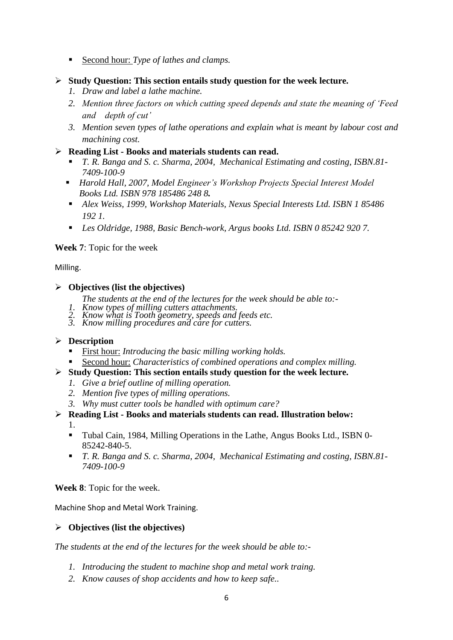- Second hour: *Type of lathes and clamps.*
- **Study Question: This section entails study question for the week lecture.**
	- *1. Draw and label a lathe machine.*
	- *2. Mention three factors on which cutting speed depends and state the meaning of 'Feed and depth of cut'*
	- *3. Mention seven types of lathe operations and explain what is meant by labour cost and machining cost.*
- **Reading List - Books and materials students can read.** 
	- *T. R. Banga and S. c. Sharma, 2004, Mechanical Estimating and costing, ISBN.81- 7409-100-9*
	- *Harold Hall, 2007, Model Engineer's Workshop Projects Special Interest Model Books Ltd. ISBN 978 185486 248 8.*
	- *Alex Weiss, 1999, Workshop Materials, Nexus Special Interests Ltd. ISBN 1 85486 192 1.*
	- *Les Oldridge, 1988, Basic Bench-work, Argus books Ltd. ISBN 0 85242 920 7.*

#### **Week 7**: Topic for the week

#### Milling.

#### **Objectives (list the objectives)**

- *The students at the end of the lectures for the week should be able to:-*
- *1. Know types of milling cutters attachments.*
- *2. Know what is Tooth geometry, speeds and feeds etc.*
- *3. Know milling procedures and care for cutters.*

#### **Description**

- First hour: *Introducing the basic milling working holds.*
- Second hour: *Characteristics of combined operations and complex milling.*
- **Study Question: This section entails study question for the week lecture.**
	- *1. Give a brief outline of milling operation.*
	- *2. Mention five types of milling operations.*
	- *3. Why must cutter tools be handled with optimum care?*
- **Reading List - Books and materials students can read. Illustration below:**

1.

- Tubal Cain, 1984, Milling Operations in the Lathe, Angus Books Ltd., ISBN 0- 85242-840-5.
- *T. R. Banga and S. c. Sharma, 2004, Mechanical Estimating and costing, ISBN.81- 7409-100-9*

**Week 8**: Topic for the week.

Machine Shop and Metal Work Training.

#### **Objectives (list the objectives)**

*The students at the end of the lectures for the week should be able to:-*

- *1. Introducing the student to machine shop and metal work traing.*
- *2. Know causes of shop accidents and how to keep safe..*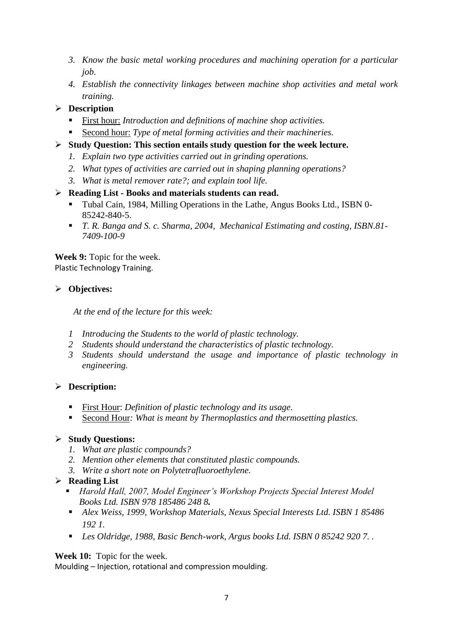- *3. Know the basic metal working procedures and machining operation for a particular job.*
- *4. Establish the connectivity linkages between machine shop activities and metal work training.*

# **Description**

- First hour: *Introduction and definitions of machine shop activities.*
- Second hour: *Type of metal forming activities and their machineries.*
- **Study Question: This section entails study question for the week lecture.**
	- *1. Explain two type activities carried out in grinding operations.*
	- *2. What types of activities are carried out in shaping planning operations?*
	- *3. What is metal remover rate?; and explain tool life.*

#### **Reading List - Books and materials students can read.**

- Tubal Cain, 1984, Milling Operations in the Lathe, Angus Books Ltd., ISBN 0- 85242-840-5.
- *T. R. Banga and S. c. Sharma, 2004, Mechanical Estimating and costing, ISBN.81- 7409-100-9*

**Week 9:** Topic for the week. Plastic Technology Training.

#### **Objectives:**

*At the end of the lecture for this week:*

- *1 Introducing the Students to the world of plastic technology.*
- *2 Students should understand the characteristics of plastic technology.*
- *3 Students should understand the usage and importance of plastic technology in engineering.*

# **Description:**

- First Hour: *Definition of plastic technology and its usage.*
- Second Hour: What is meant by Thermoplastics and thermosetting plastics.

#### **Study Questions:**

- *1. What are plastic compounds?*
- *2. Mention other elements that constituted plastic compounds.*
- *3. Write a short note on Polytetrafluoroethylene.*

#### **Reading List**

- *Harold Hall, 2007, Model Engineer's Workshop Projects Special Interest Model Books Ltd. ISBN 978 185486 248 8.*
- *Alex Weiss, 1999, Workshop Materials, Nexus Special Interests Ltd. ISBN 1 85486 192 1.*
- *Les Oldridge, 1988, Basic Bench-work, Argus books Ltd. ISBN 0 85242 920 7. .*

#### **Week 10:** Topic for the week.

Moulding – Injection, rotational and compression moulding.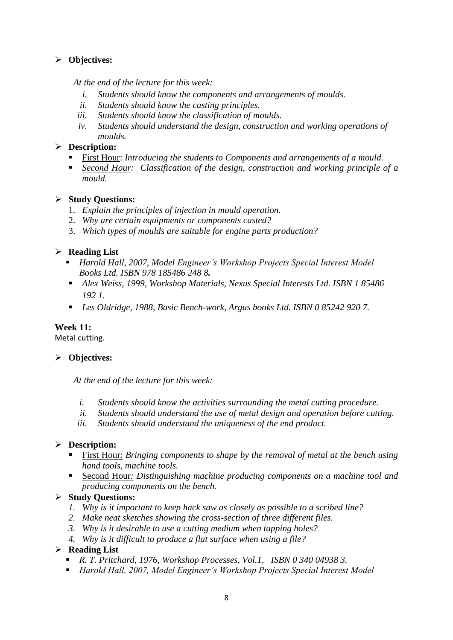# **Objectives:**

*At the end of the lecture for this week:*

- *i. Students should know the components and arrangements of moulds.*
- *ii. Students should know the casting principles.*
- *iii. Students should know the classification of moulds.*
- *iv. Students should understand the design, construction and working operations of moulds.*

#### **Description:**

- First Hour: *Introducing the students to Components and arrangements of a mould.*
- *Second Hour: Classification of the design, construction and working principle of a mould.*

#### **Study Questions:**

- 1. *Explain the principles of injection in mould operation.*
- 2. *Why are certain equipments or components casted?*
- 3. *Which types of moulds are suitable for engine parts production?*

#### **Reading List**

- *Harold Hall, 2007, Model Engineer's Workshop Projects Special Interest Model Books Ltd. ISBN 978 185486 248 8.*
- *Alex Weiss, 1999, Workshop Materials, Nexus Special Interests Ltd. ISBN 1 85486 192 1.*
- *Les Oldridge, 1988, Basic Bench-work, Argus books Ltd. ISBN 0 85242 920 7.*

#### **Week 11:**

Metal cutting.

#### **Objectives:**

*At the end of the lecture for this week:*

- *i. Students should know the activities surrounding the metal cutting procedure.*
- *ii. Students should understand the use of metal design and operation before cutting.*
- *iii. Students should understand the uniqueness of the end product.*

#### **Description:**

- First Hour: *Bringing components to shape by the removal of metal at the bench using hand tools, machine tools.*
- Second Hour*: Distinguishing machine producing components on a machine tool and producing components on the bench.*

#### **Study Questions:**

- *1. Why is it important to keep hack saw as closely as possible to a scribed line?*
- *2. Make neat sketches showing the cross-section of three different files.*
- *3. Why is it desirable to use a cutting medium when tapping holes?*
- *4. Why is it difficult to produce a flat surface when using a file?*

#### **Reading List**

- *R. T. Pritchard, 1976, Workshop Processes, Vol.1, ISBN 0 340 04938 3.*
- *Harold Hall, 2007, Model Engineer's Workshop Projects Special Interest Model*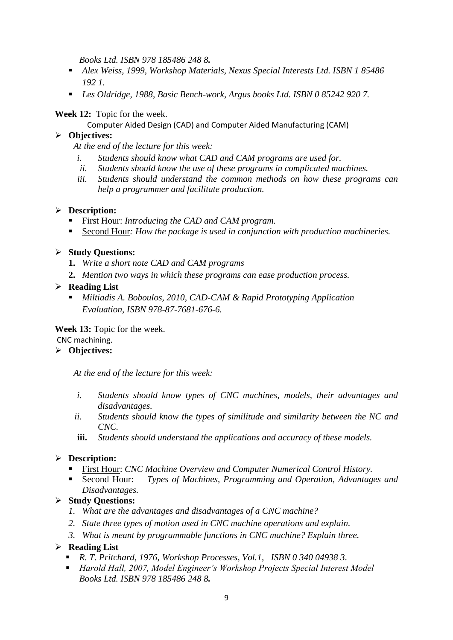*Books Ltd. ISBN 978 185486 248 8.*

- *Alex Weiss, 1999, Workshop Materials, Nexus Special Interests Ltd. ISBN 1 85486 192 1.*
- *Les Oldridge, 1988, Basic Bench-work, Argus books Ltd. ISBN 0 85242 920 7.*

#### **Week 12:** Topic for the week.

Computer Aided Design (CAD) and Computer Aided Manufacturing (CAM)

#### **Objectives:**

*At the end of the lecture for this week:*

- *i. Students should know what CAD and CAM programs are used for.*
- *ii. Students should know the use of these programs in complicated machines.*
- *iii. Students should understand the common methods on how these programs can help a programmer and facilitate production.*

#### **Description:**

- First Hour: *Introducing the CAD and CAM program.*
- Second Hour: *How the package is used in conjunction with production machineries.*

#### **Study Questions:**

- **1.** *Write a short note CAD and CAM programs*
- **2.** *Mention two ways in which these programs can ease production process.*

#### **Reading List**

 *Miltiadis A. Boboulos, 2010, CAD-CAM & Rapid Prototyping Application Evaluation, ISBN 978-87-7681-676-6.*

#### **Week 13:** Topic for the week. CNC machining.

# **Objectives:**

*At the end of the lecture for this week:*

- *i. Students should know types of CNC machines, models, their advantages and disadvantages.*
- *ii. Students should know the types of similitude and similarity between the NC and CNC.*
- **iii.** *Students should understand the applications and accuracy of these models.*

# **Description:**

- First Hour: *CNC Machine Overview and Computer Numerical Control History.*
- Second Hour: *Types of Machines, Programming and Operation, Advantages and Disadvantages.*

# **Study Questions:**

- *1. What are the advantages and disadvantages of a CNC machine?*
- *2. State three types of motion used in CNC machine operations and explain.*
- *3. What is meant by programmable functions in CNC machine? Explain three.*

#### **Reading List**

- *R. T. Pritchard, 1976, Workshop Processes, Vol.1, ISBN 0 340 04938 3.*
- *Harold Hall, 2007, Model Engineer's Workshop Projects Special Interest Model Books Ltd. ISBN 978 185486 248 8.*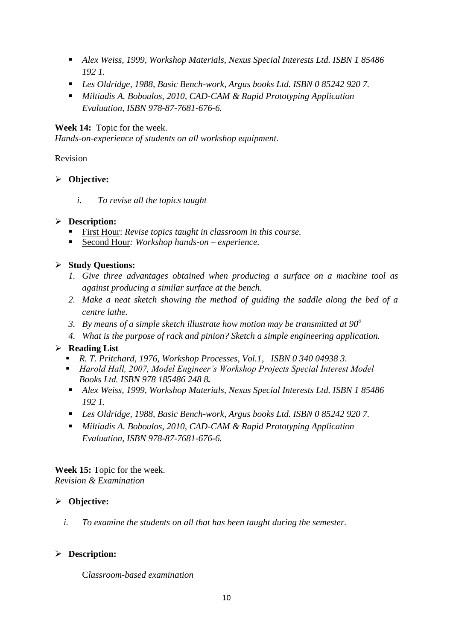- *Alex Weiss, 1999, Workshop Materials, Nexus Special Interests Ltd. ISBN 1 85486 192 1.*
- *Les Oldridge, 1988, Basic Bench-work, Argus books Ltd. ISBN 0 85242 920 7.*
- *Miltiadis A. Boboulos, 2010, CAD-CAM & Rapid Prototyping Application Evaluation, ISBN 978-87-7681-676-6.*

#### **Week 14:** Topic for the week.

*Hands-on-experience of students on all workshop equipment*.

Revision

#### **Objective:**

*i. To revise all the topics taught*

# **Description:**

- First Hour: *Revise topics taught in classroom in this course.*
- Second Hour: *Workshop hands-on experience*.

# **Study Questions:**

- *1. Give three advantages obtained when producing a surface on a machine tool as against producing a similar surface at the bench.*
- *2. Make a neat sketch showing the method of guiding the saddle along the bed of a centre lathe.*
- *3. By means of a simple sketch illustrate how motion may be transmitted at 90<sup>o</sup>*
- *4. What is the purpose of rack and pinion? Sketch a simple engineering application.*

# **Reading List**

- *R. T. Pritchard, 1976, Workshop Processes, Vol.1, ISBN 0 340 04938 3.*
- *Harold Hall, 2007, Model Engineer's Workshop Projects Special Interest Model Books Ltd. ISBN 978 185486 248 8.*
- *Alex Weiss, 1999, Workshop Materials, Nexus Special Interests Ltd. ISBN 1 85486 192 1.*
- *Les Oldridge, 1988, Basic Bench-work, Argus books Ltd. ISBN 0 85242 920 7.*
- *Miltiadis A. Boboulos, 2010, CAD-CAM & Rapid Prototyping Application Evaluation, ISBN 978-87-7681-676-6.*

**Week 15:** Topic for the week. *Revision & Examination*

# **Objective:**

*i. To examine the students on all that has been taught during the semester.*

# **Description:**

C*lassroom-based examination*